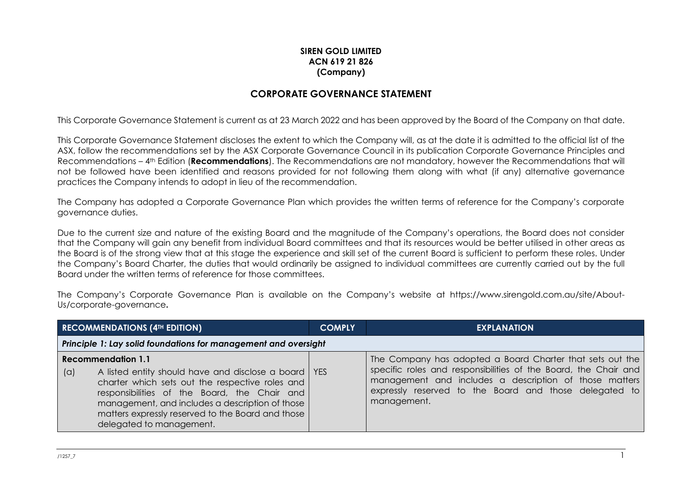## **SIREN GOLD LIMITED ACN 619 21 826 (Company)**

## **CORPORATE GOVERNANCE STATEMENT**

This Corporate Governance Statement is current as at 23 March 2022 and has been approved by the Board of the Company on that date.

This Corporate Governance Statement discloses the extent to which the Company will, as at the date it is admitted to the official list of the ASX, follow the recommendations set by the ASX Corporate Governance Council in its publication Corporate Governance Principles and Recommendations – 4th Edition (**Recommendations**). The Recommendations are not mandatory, however the Recommendations that will not be followed have been identified and reasons provided for not following them along with what (if any) alternative governance practices the Company intends to adopt in lieu of the recommendation.

The Company has adopted a Corporate Governance Plan which provides the written terms of reference for the Company's corporate governance duties.

Due to the current size and nature of the existing Board and the magnitude of the Company's operations, the Board does not consider that the Company will gain any benefit from individual Board committees and that its resources would be better utilised in other areas as the Board is of the strong view that at this stage the experience and skill set of the current Board is sufficient to perform these roles. Under the Company's Board Charter, the duties that would ordinarily be assigned to individual committees are currently carried out by the full Board under the written terms of reference for those committees.

The Company's Corporate Governance Plan is available on the Company's website at https://www.sirengold.com.au/site/About-Us/corporate-governance**.**

| <b>RECOMMENDATIONS (4TH EDITION)</b>                                                                                                                                                                                                                                                                                              |  | <b>COMPLY</b> | <b>EXPLANATION</b>                                                                                                                                                                                                                                              |  |
|-----------------------------------------------------------------------------------------------------------------------------------------------------------------------------------------------------------------------------------------------------------------------------------------------------------------------------------|--|---------------|-----------------------------------------------------------------------------------------------------------------------------------------------------------------------------------------------------------------------------------------------------------------|--|
| Principle 1: Lay solid foundations for management and oversight                                                                                                                                                                                                                                                                   |  |               |                                                                                                                                                                                                                                                                 |  |
| <b>Recommendation 1.1</b><br>A listed entity should have and disclose a board   YES<br>(a)<br>charter which sets out the respective roles and<br>responsibilities of the Board, the Chair and<br>management, and includes a description of those<br>matters expressly reserved to the Board and those<br>delegated to management. |  |               | The Company has adopted a Board Charter that sets out the<br>specific roles and responsibilities of the Board, the Chair and<br>management and includes a description of those matters<br>expressly reserved to the Board and those delegated to<br>management. |  |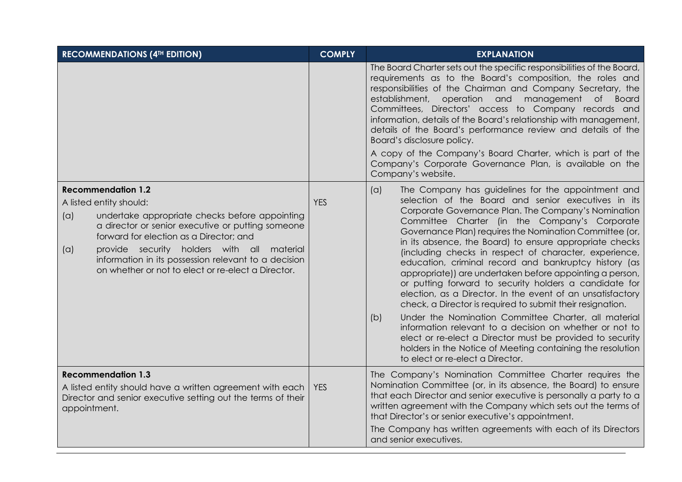| <b>RECOMMENDATIONS (4TH EDITION)</b>                                                                                                                                                                                                                                                                                                                                             | <b>COMPLY</b> | <b>EXPLANATION</b>                                                                                                                                                                                                                                                                                                                                                                                                                                                                                                                                                                                                                                                                                                                                                                                                                                                                                                                                                                                           |
|----------------------------------------------------------------------------------------------------------------------------------------------------------------------------------------------------------------------------------------------------------------------------------------------------------------------------------------------------------------------------------|---------------|--------------------------------------------------------------------------------------------------------------------------------------------------------------------------------------------------------------------------------------------------------------------------------------------------------------------------------------------------------------------------------------------------------------------------------------------------------------------------------------------------------------------------------------------------------------------------------------------------------------------------------------------------------------------------------------------------------------------------------------------------------------------------------------------------------------------------------------------------------------------------------------------------------------------------------------------------------------------------------------------------------------|
|                                                                                                                                                                                                                                                                                                                                                                                  |               | The Board Charter sets out the specific responsibilities of the Board,<br>requirements as to the Board's composition, the roles and<br>responsibilities of the Chairman and Company Secretary, the<br>establishment,<br>operation and<br>management of Board<br>Committees, Directors' access to Company records and<br>information, details of the Board's relationship with management,<br>details of the Board's performance review and details of the<br>Board's disclosure policy.<br>A copy of the Company's Board Charter, which is part of the<br>Company's Corporate Governance Plan, is available on the<br>Company's website.                                                                                                                                                                                                                                                                                                                                                                     |
| <b>Recommendation 1.2</b><br>A listed entity should:<br>(a)<br>undertake appropriate checks before appointing<br>a director or senior executive or putting someone<br>forward for election as a Director; and<br>provide security holders with all material<br>(a)<br>information in its possession relevant to a decision<br>on whether or not to elect or re-elect a Director. | <b>YES</b>    | The Company has guidelines for the appointment and<br>(a)<br>selection of the Board and senior executives in its<br>Corporate Governance Plan. The Company's Nomination<br>Committee Charter (in the Company's Corporate<br>Governance Plan) requires the Nomination Committee (or,<br>in its absence, the Board) to ensure appropriate checks<br>(including checks in respect of character, experience,<br>education, criminal record and bankruptcy history (as<br>appropriate)) are undertaken before appointing a person,<br>or putting forward to security holders a candidate for<br>election, as a Director. In the event of an unsatisfactory<br>check, a Director is required to submit their resignation.<br>Under the Nomination Committee Charter, all material<br>(b)<br>information relevant to a decision on whether or not to<br>elect or re-elect a Director must be provided to security<br>holders in the Notice of Meeting containing the resolution<br>to elect or re-elect a Director. |
| <b>Recommendation 1.3</b><br>A listed entity should have a written agreement with each<br>Director and senior executive setting out the terms of their<br>appointment.                                                                                                                                                                                                           | <b>YES</b>    | The Company's Nomination Committee Charter requires the<br>Nomination Committee (or, in its absence, the Board) to ensure<br>that each Director and senior executive is personally a party to a<br>written agreement with the Company which sets out the terms of<br>that Director's or senior executive's appointment.<br>The Company has written agreements with each of its Directors<br>and senior executives.                                                                                                                                                                                                                                                                                                                                                                                                                                                                                                                                                                                           |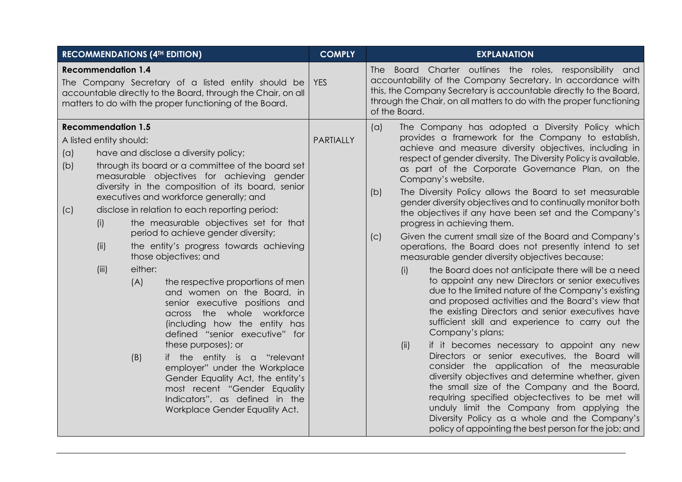| <b>RECOMMENDATIONS (4TH EDITION)</b>                                                              |                                                                                                                                                                                                                                                                                                                                                                                                                                                                                                                                                                                                                                                                                                                                                                                                                                                                                                                 | <b>COMPLY</b> | <b>EXPLANATION</b>                                                                                                                                                                                                                                                                                                                                                                                                                                                                                                                                                                                                                                                                                                                                                                                                                                                                                                                                                                                                                                                                                                                                                                                                                                                                                                                                                                                                                                                                                                                                             |
|---------------------------------------------------------------------------------------------------|-----------------------------------------------------------------------------------------------------------------------------------------------------------------------------------------------------------------------------------------------------------------------------------------------------------------------------------------------------------------------------------------------------------------------------------------------------------------------------------------------------------------------------------------------------------------------------------------------------------------------------------------------------------------------------------------------------------------------------------------------------------------------------------------------------------------------------------------------------------------------------------------------------------------|---------------|----------------------------------------------------------------------------------------------------------------------------------------------------------------------------------------------------------------------------------------------------------------------------------------------------------------------------------------------------------------------------------------------------------------------------------------------------------------------------------------------------------------------------------------------------------------------------------------------------------------------------------------------------------------------------------------------------------------------------------------------------------------------------------------------------------------------------------------------------------------------------------------------------------------------------------------------------------------------------------------------------------------------------------------------------------------------------------------------------------------------------------------------------------------------------------------------------------------------------------------------------------------------------------------------------------------------------------------------------------------------------------------------------------------------------------------------------------------------------------------------------------------------------------------------------------------|
| <b>Recommendation 1.4</b>                                                                         | The Company Secretary of a listed entity should be<br>accountable directly to the Board, through the Chair, on all<br>matters to do with the proper functioning of the Board.                                                                                                                                                                                                                                                                                                                                                                                                                                                                                                                                                                                                                                                                                                                                   | <b>YES</b>    | The Board Charter outlines the roles, responsibility and<br>accountability of the Company Secretary. In accordance with<br>this, the Company Secretary is accountable directly to the Board,<br>through the Chair, on all matters to do with the proper functioning<br>of the Board.                                                                                                                                                                                                                                                                                                                                                                                                                                                                                                                                                                                                                                                                                                                                                                                                                                                                                                                                                                                                                                                                                                                                                                                                                                                                           |
| <b>Recommendation 1.5</b><br>A listed entity should:<br>(a)<br>(b)<br>(C)<br>(i)<br>(ii)<br>(iii) | have and disclose a diversity policy;<br>through its board or a committee of the board set<br>measurable objectives for achieving gender<br>diversity in the composition of its board, senior<br>executives and workforce generally; and<br>disclose in relation to each reporting period:<br>the measurable objectives set for that<br>period to achieve gender diversity;<br>the entity's progress towards achieving<br>those objectives; and<br>either:<br>(A)<br>the respective proportions of men<br>and women on the Board, in<br>senior executive positions and<br>across the whole workforce<br>(including how the entity has<br>defined "senior executive" for<br>these purposes); or<br>(B)<br>if the entity is a "relevant<br>employer" under the Workplace<br>Gender Equality Act, the entity's<br>most recent "Gender Equality<br>Indicators", as defined in the<br>Workplace Gender Equality Act. | PARTIALLY     | The Company has adopted a Diversity Policy which<br>(a)<br>provides a framework for the Company to establish,<br>achieve and measure diversity objectives, including in<br>respect of gender diversity. The Diversity Policy is available,<br>as part of the Corporate Governance Plan, on the<br>Company's website.<br>The Diversity Policy allows the Board to set measurable<br>(b)<br>gender diversity objectives and to continually monitor both<br>the objectives if any have been set and the Company's<br>progress in achieving them.<br>Given the current small size of the Board and Company's<br>(C)<br>operations, the Board does not presently intend to set<br>measurable gender diversity objectives because:<br>the Board does not anticipate there will be a need<br>(i)<br>to appoint any new Directors or senior executives<br>due to the limited nature of the Company's existing<br>and proposed activities and the Board's view that<br>the existing Directors and senior executives have<br>sufficient skill and experience to carry out the<br>Company's plans;<br>(ii)<br>if it becomes necessary to appoint any new<br>Directors or senior executives, the Board will<br>consider the application of the measurable<br>diversity objectives and determine whether, given<br>the small size of the Company and the Board,<br>requiring specified objectectives to be met will<br>unduly limit the Company from applying the<br>Diversity Policy as a whole and the Company's<br>policy of appointing the best person for the job; and |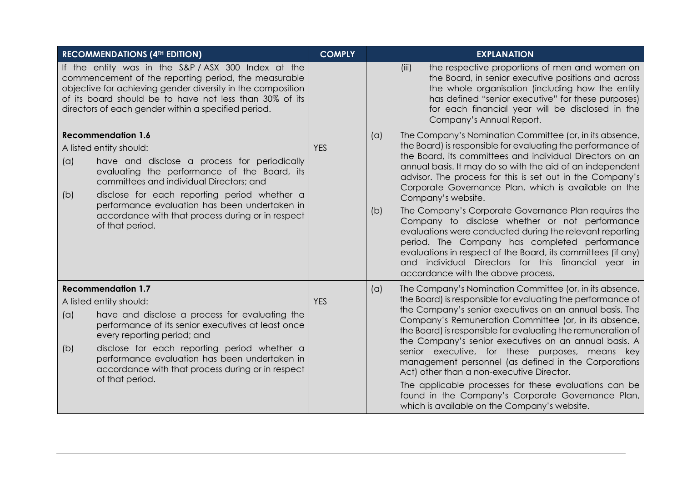|                                                                                                                                                                                                                                                                                                                                                                                         | <b>RECOMMENDATIONS (4TH EDITION)</b>                                                                                                                                                                                                                                                                                                                                 | <b>COMPLY</b> |            | <b>EXPLANATION</b>                                                                                                                                                                                                                                                                                                                                                                                                                                                                                                                                                                                                                                                                                                                                                             |
|-----------------------------------------------------------------------------------------------------------------------------------------------------------------------------------------------------------------------------------------------------------------------------------------------------------------------------------------------------------------------------------------|----------------------------------------------------------------------------------------------------------------------------------------------------------------------------------------------------------------------------------------------------------------------------------------------------------------------------------------------------------------------|---------------|------------|--------------------------------------------------------------------------------------------------------------------------------------------------------------------------------------------------------------------------------------------------------------------------------------------------------------------------------------------------------------------------------------------------------------------------------------------------------------------------------------------------------------------------------------------------------------------------------------------------------------------------------------------------------------------------------------------------------------------------------------------------------------------------------|
| If the entity was in the S&P/ASX 300 Index at the<br>commencement of the reporting period, the measurable<br>objective for achieving gender diversity in the composition<br>of its board should be to have not less than 30% of its<br>directors of each gender within a specified period.                                                                                              |                                                                                                                                                                                                                                                                                                                                                                      |               |            | the respective proportions of men and women on<br>(iii)<br>the Board, in senior executive positions and across<br>the whole organisation (including how the entity<br>has defined "senior executive" for these purposes)<br>for each financial year will be disclosed in the<br>Company's Annual Report.                                                                                                                                                                                                                                                                                                                                                                                                                                                                       |
| <b>Recommendation 1.6</b><br>A listed entity should:<br>(a)<br>have and disclose a process for periodically<br>evaluating the performance of the Board, its<br>committees and individual Directors; and<br>disclose for each reporting period whether a<br>(b)<br>performance evaluation has been undertaken in<br>accordance with that process during or in respect<br>of that period. |                                                                                                                                                                                                                                                                                                                                                                      | <b>YES</b>    | (a)<br>(b) | The Company's Nomination Committee (or, in its absence,<br>the Board) is responsible for evaluating the performance of<br>the Board, its committees and individual Directors on an<br>annual basis. It may do so with the aid of an independent<br>advisor. The process for this is set out in the Company's<br>Corporate Governance Plan, which is available on the<br>Company's website.<br>The Company's Corporate Governance Plan requires the<br>Company to disclose whether or not performance<br>evaluations were conducted during the relevant reporting<br>period. The Company has completed performance<br>evaluations in respect of the Board, its committees (if any)<br>and individual Directors for this financial year in<br>accordance with the above process. |
| (a)<br>(b)                                                                                                                                                                                                                                                                                                                                                                              | <b>Recommendation 1.7</b><br>A listed entity should:<br>have and disclose a process for evaluating the<br>performance of its senior executives at least once<br>every reporting period; and<br>disclose for each reporting period whether a<br>performance evaluation has been undertaken in<br>accordance with that process during or in respect<br>of that period. | <b>YES</b>    | (a)        | The Company's Nomination Committee (or, in its absence,<br>the Board) is responsible for evaluating the performance of<br>the Company's senior executives on an annual basis. The<br>Company's Remuneration Committee (or, in its absence,<br>the Board) is responsible for evaluating the remuneration of<br>the Company's senior executives on an annual basis. A<br>senior executive, for these purposes, means key<br>management personnel (as defined in the Corporations<br>Act) other than a non-executive Director.<br>The applicable processes for these evaluations can be<br>found in the Company's Corporate Governance Plan,<br>which is available on the Company's website.                                                                                      |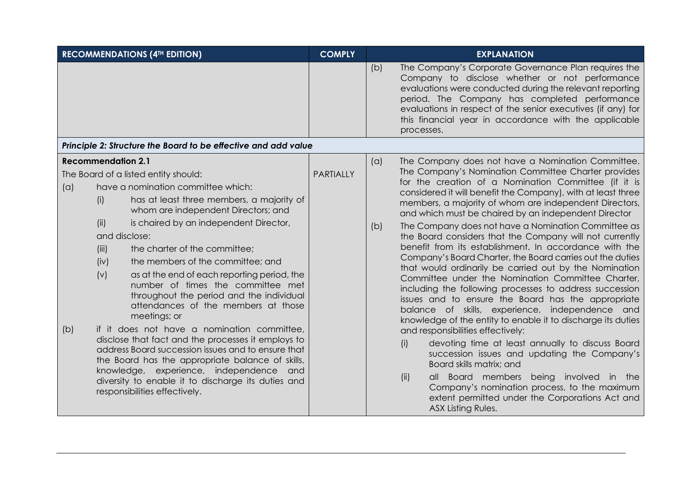| <b>RECOMMENDATIONS (4TH EDITION)</b>                                                                                                                                                                                                                                                                                                                                                                                                                                                                                                                                                                                                                                                                                                                                                                                                                                                                                      | <b>COMPLY</b>    | <b>EXPLANATION</b>                                                                                                                                                                                                                                                                                                                                                                                                                                                                                                                                                                                                                                                                                                                                                                                                                                                                                                                                                                                                                                                                                                                                                                                                                                                                                                      |  |  |  |  |
|---------------------------------------------------------------------------------------------------------------------------------------------------------------------------------------------------------------------------------------------------------------------------------------------------------------------------------------------------------------------------------------------------------------------------------------------------------------------------------------------------------------------------------------------------------------------------------------------------------------------------------------------------------------------------------------------------------------------------------------------------------------------------------------------------------------------------------------------------------------------------------------------------------------------------|------------------|-------------------------------------------------------------------------------------------------------------------------------------------------------------------------------------------------------------------------------------------------------------------------------------------------------------------------------------------------------------------------------------------------------------------------------------------------------------------------------------------------------------------------------------------------------------------------------------------------------------------------------------------------------------------------------------------------------------------------------------------------------------------------------------------------------------------------------------------------------------------------------------------------------------------------------------------------------------------------------------------------------------------------------------------------------------------------------------------------------------------------------------------------------------------------------------------------------------------------------------------------------------------------------------------------------------------------|--|--|--|--|
|                                                                                                                                                                                                                                                                                                                                                                                                                                                                                                                                                                                                                                                                                                                                                                                                                                                                                                                           |                  | The Company's Corporate Governance Plan requires the<br>(b)<br>Company to disclose whether or not performance<br>evaluations were conducted during the relevant reporting<br>period. The Company has completed performance<br>evaluations in respect of the senior executives (if any) for<br>this financial year in accordance with the applicable<br>processes.                                                                                                                                                                                                                                                                                                                                                                                                                                                                                                                                                                                                                                                                                                                                                                                                                                                                                                                                                       |  |  |  |  |
| Principle 2: Structure the Board to be effective and add value                                                                                                                                                                                                                                                                                                                                                                                                                                                                                                                                                                                                                                                                                                                                                                                                                                                            |                  |                                                                                                                                                                                                                                                                                                                                                                                                                                                                                                                                                                                                                                                                                                                                                                                                                                                                                                                                                                                                                                                                                                                                                                                                                                                                                                                         |  |  |  |  |
| <b>Recommendation 2.1</b><br>The Board of a listed entity should:<br>have a nomination committee which:<br>(a)<br>has at least three members, a majority of<br>(i)<br>whom are independent Directors; and<br>(ii)<br>is chaired by an independent Director,<br>and disclose:<br>the charter of the committee;<br>(iii)<br>the members of the committee; and<br>(iv)<br>as at the end of each reporting period, the<br>(v)<br>number of times the committee met<br>throughout the period and the individual<br>attendances of the members at those<br>meetings; or<br>if it does not have a nomination committee,<br>(b)<br>disclose that fact and the processes it employs to<br>address Board succession issues and to ensure that<br>the Board has the appropriate balance of skills,<br>knowledge, experience, independence and<br>diversity to enable it to discharge its duties and<br>responsibilities effectively. | <b>PARTIALLY</b> | The Company does not have a Nomination Committee.<br>(a)<br>The Company's Nomination Committee Charter provides<br>for the creation of a Nomination Committee (if it is<br>considered it will benefit the Company), with at least three<br>members, a majority of whom are independent Directors,<br>and which must be chaired by an independent Director<br>The Company does not have a Nomination Committee as<br>(b)<br>the Board considers that the Company will not currently<br>benefit from its establishment. In accordance with the<br>Company's Board Charter, the Board carries out the duties<br>that would ordinarily be carried out by the Nomination<br>Committee under the Nomination Committee Charter,<br>including the following processes to address succession<br>issues and to ensure the Board has the appropriate<br>balance of skills, experience, independence and<br>knowledge of the entity to enable it to discharge its duties<br>and responsibilities effectively:<br>devoting time at least annually to discuss Board<br>(i)<br>succession issues and updating the Company's<br>Board skills matrix; and<br>being involved in the<br>all Board members<br>(ii)<br>Company's nomination process, to the maximum<br>extent permitted under the Corporations Act and<br>ASX Listing Rules. |  |  |  |  |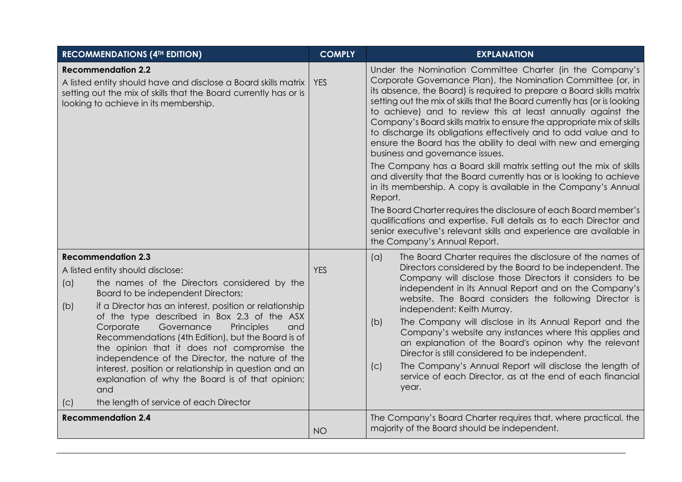| <b>RECOMMENDATIONS (4TH EDITION)</b>                                                                                                                                                                                                                                                                                                                                                                                                                                                                                                                                                                                                                     | <b>COMPLY</b> | <b>EXPLANATION</b>                                                                                                                                                                                                                                                                                                                                                                                                                                                                                                                                                                                                                                                                                                                                                                                                                                                                            |  |  |
|----------------------------------------------------------------------------------------------------------------------------------------------------------------------------------------------------------------------------------------------------------------------------------------------------------------------------------------------------------------------------------------------------------------------------------------------------------------------------------------------------------------------------------------------------------------------------------------------------------------------------------------------------------|---------------|-----------------------------------------------------------------------------------------------------------------------------------------------------------------------------------------------------------------------------------------------------------------------------------------------------------------------------------------------------------------------------------------------------------------------------------------------------------------------------------------------------------------------------------------------------------------------------------------------------------------------------------------------------------------------------------------------------------------------------------------------------------------------------------------------------------------------------------------------------------------------------------------------|--|--|
| <b>Recommendation 2.2</b><br>A listed entity should have and disclose a Board skills matrix<br>setting out the mix of skills that the Board currently has or is<br>looking to achieve in its membership.                                                                                                                                                                                                                                                                                                                                                                                                                                                 | <b>YES</b>    | Under the Nomination Committee Charter (in the Company's<br>Corporate Governance Plan), the Nomination Committee (or, in<br>its absence, the Board) is required to prepare a Board skills matrix<br>setting out the mix of skills that the Board currently has (or is looking<br>to achieve) and to review this at least annually against the<br>Company's Board skills matrix to ensure the appropriate mix of skills<br>to discharge its obligations effectively and to add value and to<br>ensure the Board has the ability to deal with new and emerging<br>business and governance issues.<br>The Company has a Board skill matrix setting out the mix of skills<br>and diversity that the Board currently has or is looking to achieve<br>in its membership. A copy is available in the Company's Annual<br>Report.<br>The Board Charter requires the disclosure of each Board member's |  |  |
|                                                                                                                                                                                                                                                                                                                                                                                                                                                                                                                                                                                                                                                          |               | qualifications and expertise. Full details as to each Director and<br>senior executive's relevant skills and experience are available in<br>the Company's Annual Report.                                                                                                                                                                                                                                                                                                                                                                                                                                                                                                                                                                                                                                                                                                                      |  |  |
| <b>Recommendation 2.3</b><br>A listed entity should disclose:<br>(a)<br>the names of the Directors considered by the<br>Board to be independent Directors;<br>if a Director has an interest, position or relationship<br>(b)<br>of the type described in Box 2.3 of the ASX<br>Corporate<br>Governance<br>Principles<br>and<br>Recommendations (4th Edition), but the Board is of<br>the opinion that it does not compromise the<br>independence of the Director, the nature of the<br>interest, position or relationship in question and an<br>explanation of why the Board is of that opinion;<br>and<br>the length of service of each Director<br>(C) | <b>YES</b>    | The Board Charter requires the disclosure of the names of<br>(a)<br>Directors considered by the Board to be independent. The<br>Company will disclose those Directors it considers to be<br>independent in its Annual Report and on the Company's<br>website. The Board considers the following Director is<br>independent: Keith Murray.<br>The Company will disclose in its Annual Report and the<br>(b)<br>Company's website any instances where this applies and<br>an explanation of the Board's opinon why the relevant<br>Director is still considered to be independent.<br>The Company's Annual Report will disclose the length of<br>(c)<br>service of each Director, as at the end of each financial<br>year.                                                                                                                                                                      |  |  |
| <b>Recommendation 2.4</b>                                                                                                                                                                                                                                                                                                                                                                                                                                                                                                                                                                                                                                | <b>NO</b>     | The Company's Board Charter requires that, where practical, the<br>majority of the Board should be independent.                                                                                                                                                                                                                                                                                                                                                                                                                                                                                                                                                                                                                                                                                                                                                                               |  |  |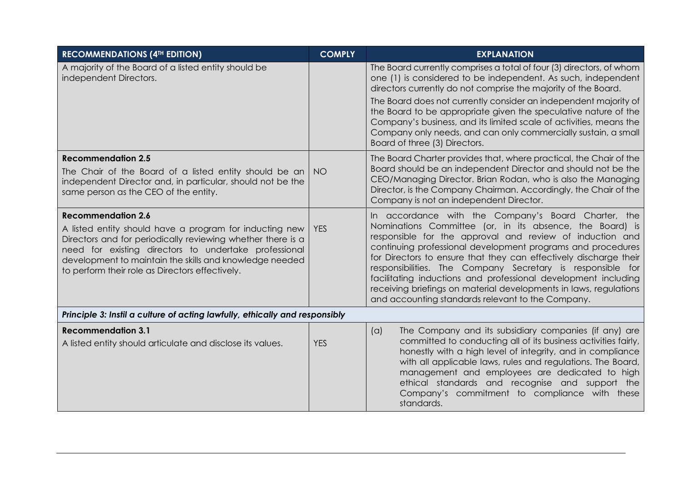| <b>RECOMMENDATIONS (4TH EDITION)</b>                                                                                                                                                                                                                                                                                       | <b>COMPLY</b> | <b>EXPLANATION</b>                                                                                                                                                                                                                                                                                                                                                                                                                                                                                                                                                        |  |  |
|----------------------------------------------------------------------------------------------------------------------------------------------------------------------------------------------------------------------------------------------------------------------------------------------------------------------------|---------------|---------------------------------------------------------------------------------------------------------------------------------------------------------------------------------------------------------------------------------------------------------------------------------------------------------------------------------------------------------------------------------------------------------------------------------------------------------------------------------------------------------------------------------------------------------------------------|--|--|
| A majority of the Board of a listed entity should be<br>independent Directors.                                                                                                                                                                                                                                             |               | The Board currently comprises a total of four (3) directors, of whom<br>one (1) is considered to be independent. As such, independent<br>directors currently do not comprise the majority of the Board.                                                                                                                                                                                                                                                                                                                                                                   |  |  |
|                                                                                                                                                                                                                                                                                                                            |               | The Board does not currently consider an independent majority of<br>the Board to be appropriate given the speculative nature of the<br>Company's business, and its limited scale of activities, means the<br>Company only needs, and can only commercially sustain, a small<br>Board of three (3) Directors.                                                                                                                                                                                                                                                              |  |  |
| <b>Recommendation 2.5</b><br>The Chair of the Board of a listed entity should be an<br>independent Director and, in particular, should not be the<br>same person as the CEO of the entity.                                                                                                                                 | NO.           | The Board Charter provides that, where practical, the Chair of the<br>Board should be an independent Director and should not be the<br>CEO/Managing Director. Brian Rodan, who is also the Managing<br>Director, is the Company Chairman. Accordingly, the Chair of the<br>Company is not an independent Director.                                                                                                                                                                                                                                                        |  |  |
| <b>Recommendation 2.6</b><br>A listed entity should have a program for inducting new<br>Directors and for periodically reviewing whether there is a<br>need for existing directors to undertake professional<br>development to maintain the skills and knowledge needed<br>to perform their role as Directors effectively. | <b>YES</b>    | In accordance with the Company's Board Charter, the<br>Nominations Committee (or, in its absence, the Board) is<br>responsible for the approval and review of induction and<br>continuing professional development programs and procedures<br>for Directors to ensure that they can effectively discharge their<br>responsibilities. The Company Secretary is responsible for<br>facilitating inductions and professional development including<br>receiving briefings on material developments in laws, regulations<br>and accounting standards relevant to the Company. |  |  |
| Principle 3: Instil a culture of acting lawfully, ethically and responsibly                                                                                                                                                                                                                                                |               |                                                                                                                                                                                                                                                                                                                                                                                                                                                                                                                                                                           |  |  |
| <b>Recommendation 3.1</b><br>A listed entity should articulate and disclose its values.                                                                                                                                                                                                                                    | <b>YES</b>    | The Company and its subsidiary companies (if any) are<br>(a)<br>committed to conducting all of its business activities fairly,<br>honestly with a high level of integrity, and in compliance<br>with all applicable laws, rules and regulations. The Board,<br>management and employees are dedicated to high<br>ethical standards and recognise and support the<br>Company's commitment to compliance with these<br>standards.                                                                                                                                           |  |  |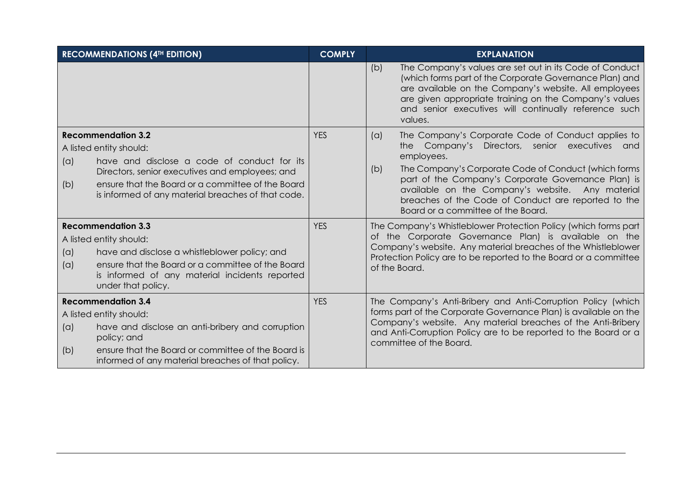| <b>RECOMMENDATIONS (4TH EDITION)</b>                                                                                                                                                                                                             |                                                                                                                                                                                                                                                                   | <b>COMPLY</b> | <b>EXPLANATION</b>                                                                                                                                                                                                                                                                                                                                                                               |
|--------------------------------------------------------------------------------------------------------------------------------------------------------------------------------------------------------------------------------------------------|-------------------------------------------------------------------------------------------------------------------------------------------------------------------------------------------------------------------------------------------------------------------|---------------|--------------------------------------------------------------------------------------------------------------------------------------------------------------------------------------------------------------------------------------------------------------------------------------------------------------------------------------------------------------------------------------------------|
|                                                                                                                                                                                                                                                  |                                                                                                                                                                                                                                                                   |               | The Company's values are set out in its Code of Conduct<br>(b)<br>(which forms part of the Corporate Governance Plan) and<br>are available on the Company's website. All employees<br>are given appropriate training on the Company's values<br>and senior executives will continually reference such<br>values.                                                                                 |
| (a)<br>(b)                                                                                                                                                                                                                                       | <b>Recommendation 3.2</b><br>A listed entity should:<br>have and disclose a code of conduct for its<br>Directors, senior executives and employees; and<br>ensure that the Board or a committee of the Board<br>is informed of any material breaches of that code. | <b>YES</b>    | The Company's Corporate Code of Conduct applies to<br>(a)<br>the Company's Directors, senior executives and<br>employees.<br>The Company's Corporate Code of Conduct (which forms<br>(b)<br>part of the Company's Corporate Governance Plan) is<br>available on the Company's website. Any material<br>breaches of the Code of Conduct are reported to the<br>Board or a committee of the Board. |
| <b>Recommendation 3.3</b><br>A listed entity should:<br>have and disclose a whistleblower policy; and<br>(a)<br>ensure that the Board or a committee of the Board<br>(a)<br>is informed of any material incidents reported<br>under that policy. |                                                                                                                                                                                                                                                                   | <b>YES</b>    | The Company's Whistleblower Protection Policy (which forms part<br>of the Corporate Governance Plan) is available on the<br>Company's website. Any material breaches of the Whistleblower<br>Protection Policy are to be reported to the Board or a committee<br>of the Board.                                                                                                                   |
| (a)<br>(b)                                                                                                                                                                                                                                       | <b>Recommendation 3.4</b><br>A listed entity should:<br>have and disclose an anti-bribery and corruption<br>policy; and<br>ensure that the Board or committee of the Board is<br>informed of any material breaches of that policy.                                | <b>YES</b>    | The Company's Anti-Bribery and Anti-Corruption Policy (which<br>forms part of the Corporate Governance Plan) is available on the<br>Company's website. Any material breaches of the Anti-Bribery<br>and Anti-Corruption Policy are to be reported to the Board or a<br>committee of the Board.                                                                                                   |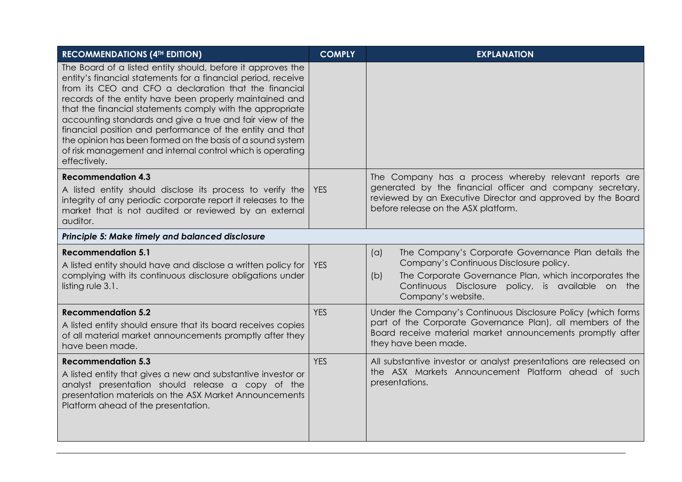| <b>RECOMMENDATIONS (4TH EDITION)</b>                                                                                                                                                                                                                                                                                                                                                                                                                                                                                                                                                | <b>COMPLY</b> | <b>EXPLANATION</b>                                                                                                                                                                                                                               |  |  |  |  |
|-------------------------------------------------------------------------------------------------------------------------------------------------------------------------------------------------------------------------------------------------------------------------------------------------------------------------------------------------------------------------------------------------------------------------------------------------------------------------------------------------------------------------------------------------------------------------------------|---------------|--------------------------------------------------------------------------------------------------------------------------------------------------------------------------------------------------------------------------------------------------|--|--|--|--|
| The Board of a listed entity should, before it approves the<br>entity's financial statements for a financial period, receive<br>from its CEO and CFO a declaration that the financial<br>records of the entity have been properly maintained and<br>that the financial statements comply with the appropriate<br>accounting standards and give a true and fair view of the<br>financial position and performance of the entity and that<br>the opinion has been formed on the basis of a sound system<br>of risk management and internal control which is operating<br>effectively. |               |                                                                                                                                                                                                                                                  |  |  |  |  |
| <b>Recommendation 4.3</b>                                                                                                                                                                                                                                                                                                                                                                                                                                                                                                                                                           |               | The Company has a process whereby relevant reports are                                                                                                                                                                                           |  |  |  |  |
| A listed entity should disclose its process to verify the<br>integrity of any periodic corporate report it releases to the<br>market that is not audited or reviewed by an external<br>auditor.                                                                                                                                                                                                                                                                                                                                                                                     | <b>YES</b>    | generated by the financial officer and company secretary,<br>reviewed by an Executive Director and approved by the Board<br>before release on the ASX platform.                                                                                  |  |  |  |  |
| Principle 5: Make timely and balanced disclosure                                                                                                                                                                                                                                                                                                                                                                                                                                                                                                                                    |               |                                                                                                                                                                                                                                                  |  |  |  |  |
| <b>Recommendation 5.1</b><br>A listed entity should have and disclose a written policy for<br>complying with its continuous disclosure obligations under<br>listing rule 3.1.                                                                                                                                                                                                                                                                                                                                                                                                       | <b>YES</b>    | (a)<br>The Company's Corporate Governance Plan details the<br>Company's Continuous Disclosure policy.<br>The Corporate Governance Plan, which incorporates the<br>(b)<br>Continuous Disclosure policy, is available on the<br>Company's website. |  |  |  |  |
| <b>Recommendation 5.2</b>                                                                                                                                                                                                                                                                                                                                                                                                                                                                                                                                                           | <b>YES</b>    | Under the Company's Continuous Disclosure Policy (which forms                                                                                                                                                                                    |  |  |  |  |
| A listed entity should ensure that its board receives copies<br>of all material market announcements promptly after they<br>have been made.                                                                                                                                                                                                                                                                                                                                                                                                                                         |               | part of the Corporate Governance Plan), all members of the<br>Board receive material market announcements promptly after<br>they have been made.                                                                                                 |  |  |  |  |
| <b>Recommendation 5.3</b>                                                                                                                                                                                                                                                                                                                                                                                                                                                                                                                                                           | <b>YES</b>    | All substantive investor or analyst presentations are released on                                                                                                                                                                                |  |  |  |  |
| A listed entity that gives a new and substantive investor or<br>analyst presentation should release a copy of the<br>presentation materials on the ASX Market Announcements<br>Platform ahead of the presentation.                                                                                                                                                                                                                                                                                                                                                                  |               | the ASX Markets Announcement Platform ahead of such<br>presentations.                                                                                                                                                                            |  |  |  |  |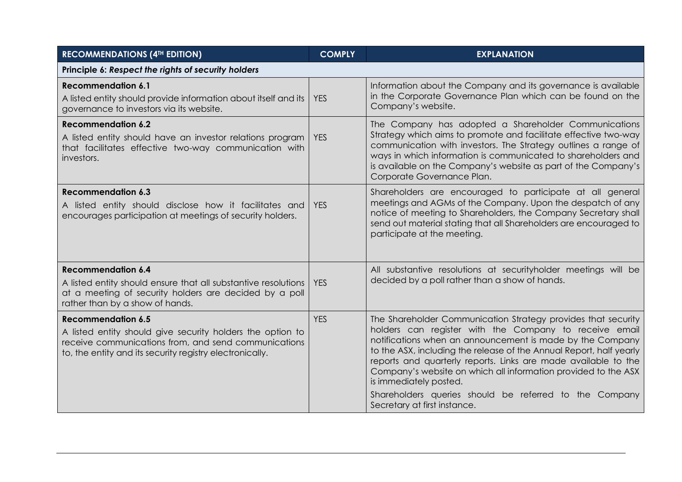| <b>RECOMMENDATIONS (4TH EDITION)</b>                                                                                                                                                                        | <b>COMPLY</b> | <b>EXPLANATION</b>                                                                                                                                                                                                                                                                                                                                                                                                                                                                                                  |  |  |  |
|-------------------------------------------------------------------------------------------------------------------------------------------------------------------------------------------------------------|---------------|---------------------------------------------------------------------------------------------------------------------------------------------------------------------------------------------------------------------------------------------------------------------------------------------------------------------------------------------------------------------------------------------------------------------------------------------------------------------------------------------------------------------|--|--|--|
| Principle 6: Respect the rights of security holders                                                                                                                                                         |               |                                                                                                                                                                                                                                                                                                                                                                                                                                                                                                                     |  |  |  |
| <b>Recommendation 6.1</b><br>A listed entity should provide information about itself and its<br>governance to investors via its website.                                                                    | <b>YES</b>    | Information about the Company and its governance is available<br>in the Corporate Governance Plan which can be found on the<br>Company's website.                                                                                                                                                                                                                                                                                                                                                                   |  |  |  |
| <b>Recommendation 6.2</b><br>A listed entity should have an investor relations program<br>that facilitates effective two-way communication with<br>investors.                                               | <b>YES</b>    | The Company has adopted a Shareholder Communications<br>Strategy which aims to promote and facilitate effective two-way<br>communication with investors. The Strategy outlines a range of<br>ways in which information is communicated to shareholders and<br>is available on the Company's website as part of the Company's<br>Corporate Governance Plan.                                                                                                                                                          |  |  |  |
| <b>Recommendation 6.3</b><br>A listed entity should disclose how it facilitates and<br>encourages participation at meetings of security holders.                                                            | <b>YES</b>    | Shareholders are encouraged to participate at all general<br>meetings and AGMs of the Company. Upon the despatch of any<br>notice of meeting to Shareholders, the Company Secretary shall<br>send out material stating that all Shareholders are encouraged to<br>participate at the meeting.                                                                                                                                                                                                                       |  |  |  |
| <b>Recommendation 6.4</b><br>A listed entity should ensure that all substantive resolutions<br>at a meeting of security holders are decided by a poll<br>rather than by a show of hands.                    | <b>YES</b>    | All substantive resolutions at securityholder meetings will be<br>decided by a poll rather than a show of hands.                                                                                                                                                                                                                                                                                                                                                                                                    |  |  |  |
| <b>Recommendation 6.5</b><br>A listed entity should give security holders the option to<br>receive communications from, and send communications<br>to, the entity and its security registry electronically. | <b>YES</b>    | The Shareholder Communication Strategy provides that security<br>holders can register with the Company to receive email<br>notifications when an announcement is made by the Company<br>to the ASX, including the release of the Annual Report, half yearly<br>reports and quarterly reports. Links are made available to the<br>Company's website on which all information provided to the ASX<br>is immediately posted.<br>Shareholders queries should be referred to the Company<br>Secretary at first instance. |  |  |  |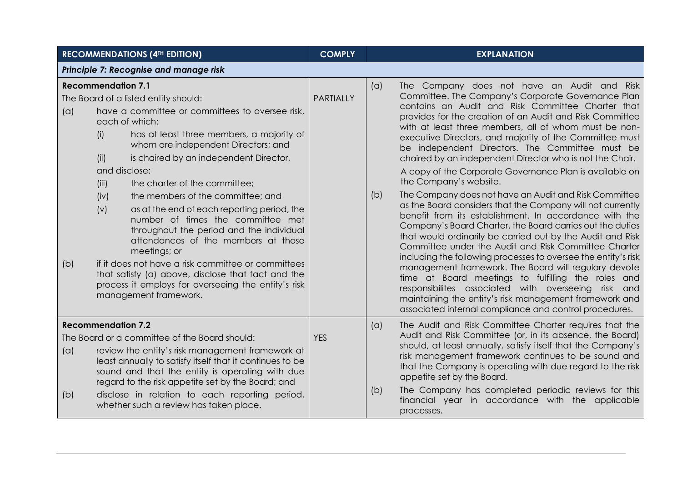| <b>RECOMMENDATIONS (4TH EDITION)</b>                                                                                                                                                                                                                                                                                                                                                                         |                                                                                   |                                                                                                                                                                                                                                                                                                                                                                                                                                                                                                                                                                                                                                                                                                  | <b>COMPLY</b> |                                                                                                                                                                                                                                                                                                                                                                                                                                                               | <b>EXPLANATION</b>                                                                                                                                                                                                                                                                                                                                                                                                                                                                                                                                                                                                                                                                                                                                                                                                                                                                                                                                                                                                                                                                                                                                                                                                                                                        |  |
|--------------------------------------------------------------------------------------------------------------------------------------------------------------------------------------------------------------------------------------------------------------------------------------------------------------------------------------------------------------------------------------------------------------|-----------------------------------------------------------------------------------|--------------------------------------------------------------------------------------------------------------------------------------------------------------------------------------------------------------------------------------------------------------------------------------------------------------------------------------------------------------------------------------------------------------------------------------------------------------------------------------------------------------------------------------------------------------------------------------------------------------------------------------------------------------------------------------------------|---------------|---------------------------------------------------------------------------------------------------------------------------------------------------------------------------------------------------------------------------------------------------------------------------------------------------------------------------------------------------------------------------------------------------------------------------------------------------------------|---------------------------------------------------------------------------------------------------------------------------------------------------------------------------------------------------------------------------------------------------------------------------------------------------------------------------------------------------------------------------------------------------------------------------------------------------------------------------------------------------------------------------------------------------------------------------------------------------------------------------------------------------------------------------------------------------------------------------------------------------------------------------------------------------------------------------------------------------------------------------------------------------------------------------------------------------------------------------------------------------------------------------------------------------------------------------------------------------------------------------------------------------------------------------------------------------------------------------------------------------------------------------|--|
| Principle 7: Recognise and manage risk                                                                                                                                                                                                                                                                                                                                                                       |                                                                                   |                                                                                                                                                                                                                                                                                                                                                                                                                                                                                                                                                                                                                                                                                                  |               |                                                                                                                                                                                                                                                                                                                                                                                                                                                               |                                                                                                                                                                                                                                                                                                                                                                                                                                                                                                                                                                                                                                                                                                                                                                                                                                                                                                                                                                                                                                                                                                                                                                                                                                                                           |  |
| (a)<br>(b)                                                                                                                                                                                                                                                                                                                                                                                                   | <b>Recommendation 7.1</b><br>(i)<br>(ii)<br>and disclose:<br>(iii)<br>(iv)<br>(v) | The Board of a listed entity should:<br>have a committee or committees to oversee risk,<br>each of which:<br>has at least three members, a majority of<br>whom are independent Directors; and<br>is chaired by an independent Director,<br>the charter of the committee;<br>the members of the committee; and<br>as at the end of each reporting period, the<br>number of times the committee met<br>throughout the period and the individual<br>attendances of the members at those<br>meetings; or<br>if it does not have a risk committee or committees<br>that satisfy (a) above, disclose that fact and the<br>process it employs for overseeing the entity's risk<br>management framework. | PARTIALLY     | (a)<br>(b)                                                                                                                                                                                                                                                                                                                                                                                                                                                    | The Company does not have an Audit and Risk<br>Committee. The Company's Corporate Governance Plan<br>contains an Audit and Risk Committee Charter that<br>provides for the creation of an Audit and Risk Committee<br>with at least three members, all of whom must be non-<br>executive Directors, and majority of the Committee must<br>be independent Directors. The Committee must be<br>chaired by an independent Director who is not the Chair.<br>A copy of the Corporate Governance Plan is available on<br>the Company's website.<br>The Company does not have an Audit and Risk Committee<br>as the Board considers that the Company will not currently<br>benefit from its establishment. In accordance with the<br>Company's Board Charter, the Board carries out the duties<br>that would ordinarily be carried out by the Audit and Risk<br>Committee under the Audit and Risk Committee Charter<br>including the following processes to oversee the entity's risk<br>management framework. The Board will regulary devote<br>time at Board meetings to fulfilling the roles and<br>responsibilites associated with overseeing risk and<br>maintaining the entity's risk management framework and<br>associated internal compliance and control procedures. |  |
| <b>Recommendation 7.2</b><br>The Board or a committee of the Board should:<br>review the entity's risk management framework at<br>(a)<br>least annually to satisfy itself that it continues to be<br>sound and that the entity is operating with due<br>regard to the risk appetite set by the Board; and<br>disclose in relation to each reporting period,<br>(b)<br>whether such a review has taken place. |                                                                                   | <b>YES</b>                                                                                                                                                                                                                                                                                                                                                                                                                                                                                                                                                                                                                                                                                       | (a)<br>(b)    | The Audit and Risk Committee Charter requires that the<br>Audit and Risk Committee (or, in its absence, the Board)<br>should, at least annually, satisfy itself that the Company's<br>risk management framework continues to be sound and<br>that the Company is operating with due regard to the risk<br>appetite set by the Board.<br>The Company has completed periodic reviews for this<br>financial year in accordance with the applicable<br>processes. |                                                                                                                                                                                                                                                                                                                                                                                                                                                                                                                                                                                                                                                                                                                                                                                                                                                                                                                                                                                                                                                                                                                                                                                                                                                                           |  |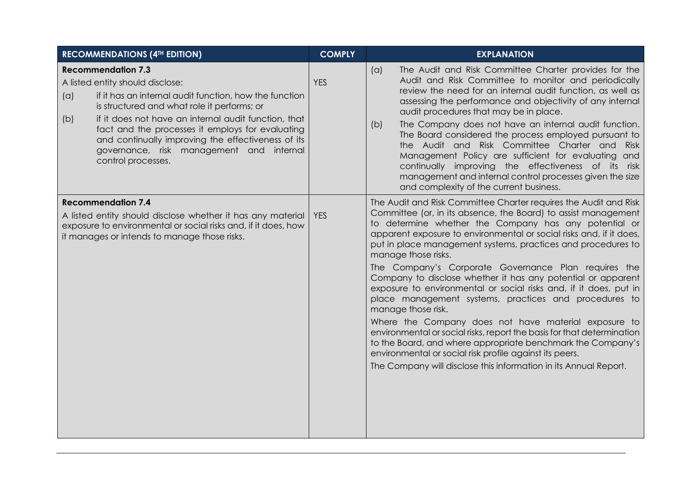| <b>RECOMMENDATIONS (4TH EDITION)</b>                                                                                                                                                                                                                                                                                                                                                                                     | <b>COMPLY</b> | <b>EXPLANATION</b>                                                                                                                                                                                                                                                                                                                                                                                                                                                                                                                                                                                                                                                                                                                                                                                                                                                                                                                                                    |
|--------------------------------------------------------------------------------------------------------------------------------------------------------------------------------------------------------------------------------------------------------------------------------------------------------------------------------------------------------------------------------------------------------------------------|---------------|-----------------------------------------------------------------------------------------------------------------------------------------------------------------------------------------------------------------------------------------------------------------------------------------------------------------------------------------------------------------------------------------------------------------------------------------------------------------------------------------------------------------------------------------------------------------------------------------------------------------------------------------------------------------------------------------------------------------------------------------------------------------------------------------------------------------------------------------------------------------------------------------------------------------------------------------------------------------------|
| <b>Recommendation 7.3</b><br>A listed entity should disclose:<br>if it has an internal audit function, how the function<br>(a)<br>is structured and what role it performs; or<br>if it does not have an internal audit function, that<br>(b)<br>fact and the processes it employs for evaluating<br>and continually improving the effectiveness of its<br>governance, risk management and internal<br>control processes. | <b>YES</b>    | The Audit and Risk Committee Charter provides for the<br>(a)<br>Audit and Risk Committee to monitor and periodically<br>review the need for an internal audit function, as well as<br>assessing the performance and objectivity of any internal<br>audit procedures that may be in place.<br>The Company does not have an internal audit function.<br>(b)<br>The Board considered the process employed pursuant to<br>the Audit and Risk Committee Charter and Risk<br>Management Policy are sufficient for evaluating and<br>continually improving the effectiveness of its risk<br>management and internal control processes given the size<br>and complexity of the current business.                                                                                                                                                                                                                                                                              |
| <b>Recommendation 7.4</b><br>A listed entity should disclose whether it has any material<br>exposure to environmental or social risks and, if it does, how<br>it manages or intends to manage those risks.                                                                                                                                                                                                               | <b>YES</b>    | The Audit and Risk Committee Charter requires the Audit and Risk<br>Committee (or, in its absence, the Board) to assist management<br>to determine whether the Company has any potential or<br>apparent exposure to environmental or social risks and, if it does,<br>put in place management systems, practices and procedures to<br>manage those risks.<br>The Company's Corporate Governance Plan requires the<br>Company to disclose whether it has any potential or apparent<br>exposure to environmental or social risks and, if it does, put in<br>place management systems, practices and procedures to<br>manage those risk.<br>Where the Company does not have material exposure to<br>environmental or social risks, report the basis for that determination<br>to the Board, and where appropriate benchmark the Company's<br>environmental or social risk profile against its peers.<br>The Company will disclose this information in its Annual Report. |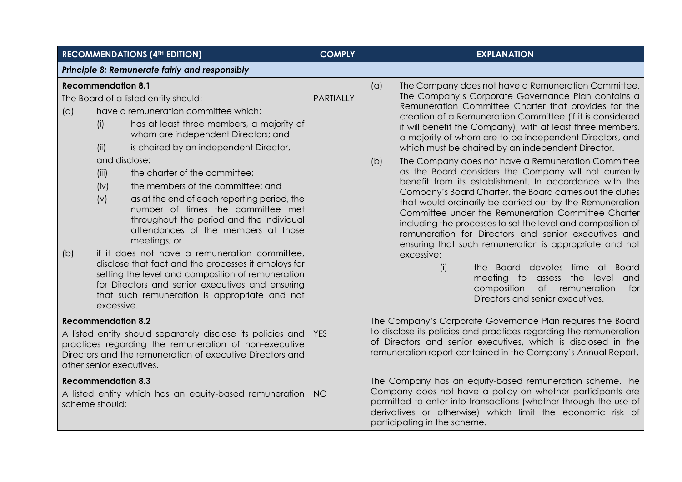| <b>RECOMMENDATIONS (4TH EDITION)</b>                                                                                                                                                                                                                                                                                                                                                                                                                                                                                                                  |                                                                                                                                                                                                                                                                                                   | <b>COMPLY</b>    | <b>EXPLANATION</b>                                                                                                                                                                                                                                                                                                                                                                                                                                                                                                                                                                                                                                                                                                                                                                                                                                                                                                                                                                                                                                                                                                                                   |  |  |
|-------------------------------------------------------------------------------------------------------------------------------------------------------------------------------------------------------------------------------------------------------------------------------------------------------------------------------------------------------------------------------------------------------------------------------------------------------------------------------------------------------------------------------------------------------|---------------------------------------------------------------------------------------------------------------------------------------------------------------------------------------------------------------------------------------------------------------------------------------------------|------------------|------------------------------------------------------------------------------------------------------------------------------------------------------------------------------------------------------------------------------------------------------------------------------------------------------------------------------------------------------------------------------------------------------------------------------------------------------------------------------------------------------------------------------------------------------------------------------------------------------------------------------------------------------------------------------------------------------------------------------------------------------------------------------------------------------------------------------------------------------------------------------------------------------------------------------------------------------------------------------------------------------------------------------------------------------------------------------------------------------------------------------------------------------|--|--|
| Principle 8: Remunerate fairly and responsibly                                                                                                                                                                                                                                                                                                                                                                                                                                                                                                        |                                                                                                                                                                                                                                                                                                   |                  |                                                                                                                                                                                                                                                                                                                                                                                                                                                                                                                                                                                                                                                                                                                                                                                                                                                                                                                                                                                                                                                                                                                                                      |  |  |
| <b>Recommendation 8.1</b><br>The Board of a listed entity should:<br>have a remuneration committee which:<br>(a)<br>(i)<br>(ii)<br>and disclose:<br>(iii)<br>the charter of the committee;<br>(iv)<br>the members of the committee; and<br>(v)<br>meetings; or<br>if it does not have a remuneration committee,<br>(b)<br>disclose that fact and the processes it employs for<br>setting the level and composition of remuneration<br>for Directors and senior executives and ensuring<br>that such remuneration is appropriate and not<br>excessive. | has at least three members, a majority of<br>whom are independent Directors; and<br>is chaired by an independent Director,<br>as at the end of each reporting period, the<br>number of times the committee met<br>throughout the period and the individual<br>attendances of the members at those | <b>PARTIALLY</b> | The Company does not have a Remuneration Committee.<br>(a)<br>The Company's Corporate Governance Plan contains a<br>Remuneration Committee Charter that provides for the<br>creation of a Remuneration Committee (if it is considered<br>it will benefit the Company), with at least three members,<br>a majority of whom are to be independent Directors, and<br>which must be chaired by an independent Director.<br>The Company does not have a Remuneration Committee<br>(b)<br>as the Board considers the Company will not currently<br>benefit from its establishment. In accordance with the<br>Company's Board Charter, the Board carries out the duties<br>that would ordinarily be carried out by the Remuneration<br>Committee under the Remuneration Committee Charter<br>including the processes to set the level and composition of<br>remuneration for Directors and senior executives and<br>ensuring that such remuneration is appropriate and not<br>excessive:<br>(i)<br>the Board devotes time at Board<br>meeting to<br>assess the<br>level<br>and<br>composition<br>of remuneration<br>for<br>Directors and senior executives. |  |  |
| <b>Recommendation 8.2</b><br>A listed entity should separately disclose its policies and<br>practices regarding the remuneration of non-executive<br>Directors and the remuneration of executive Directors and<br>other senior executives.<br><b>Recommendation 8.3</b>                                                                                                                                                                                                                                                                               |                                                                                                                                                                                                                                                                                                   | <b>YES</b>       | The Company's Corporate Governance Plan requires the Board<br>to disclose its policies and practices regarding the remuneration<br>of Directors and senior executives, which is disclosed in the<br>remuneration report contained in the Company's Annual Report.<br>The Company has an equity-based remuneration scheme. The                                                                                                                                                                                                                                                                                                                                                                                                                                                                                                                                                                                                                                                                                                                                                                                                                        |  |  |
| A listed entity which has an equity-based remuneration<br>scheme should:                                                                                                                                                                                                                                                                                                                                                                                                                                                                              |                                                                                                                                                                                                                                                                                                   | <b>NO</b>        | Company does not have a policy on whether participants are<br>permitted to enter into transactions (whether through the use of<br>derivatives or otherwise) which limit the economic risk of<br>participating in the scheme.                                                                                                                                                                                                                                                                                                                                                                                                                                                                                                                                                                                                                                                                                                                                                                                                                                                                                                                         |  |  |